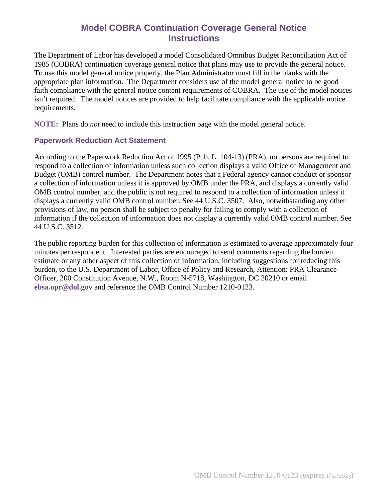# **Model COBRA Continuation Coverage General Notice Instructions**

The Department of Labor has developed a model Consolidated Omnibus Budget Reconciliation Act of 1985 (COBRA) continuation coverage general notice that plans may use to provide the general notice. To use this model general notice properly, the Plan Administrator must fill in the blanks with the appropriate plan information. The Department considers use of the model general notice to be good faith compliance with the general notice content requirements of COBRA. The use of the model notices isn't required. The model notices are provided to help facilitate compliance with the applicable notice requirements.

**NOTE:** Plans do *not* need to include this instruction page with the model general notice.

#### **Paperwork Reduction Act Statement**

According to the Paperwork Reduction Act of 1995 (Pub. L. 104-13) (PRA), no persons are required to respond to a collection of information unless such collection displays a valid Office of Management and Budget (OMB) control number. The Department notes that a Federal agency cannot conduct or sponsor a collection of information unless it is approved by OMB under the PRA, and displays a currently valid OMB control number, and the public is not required to respond to a collection of information unless it displays a currently valid OMB control number. See 44 U.S.C. 3507. Also, notwithstanding any other provisions of law, no person shall be subject to penalty for failing to comply with a collection of information if the collection of information does not display a currently valid OMB control number. See 44 U.S.C. 3512.

The public reporting burden for this collection of information is estimated to average approximately four minutes per respondent. Interested parties are encouraged to send comments regarding the burden estimate or any other aspect of this collection of information, including suggestions for reducing this burden, to the U.S. Department of Labor, Office of Policy and Research, Attention: PRA Clearance Officer, 200 Constitution Avenue, N.W., Room N-5718, Washington, DC 20210 or email **[ebsa.opr@dol.gov](mailto:ebsa.opr@dol.gov)** and reference the OMB Control Number 1210-0123.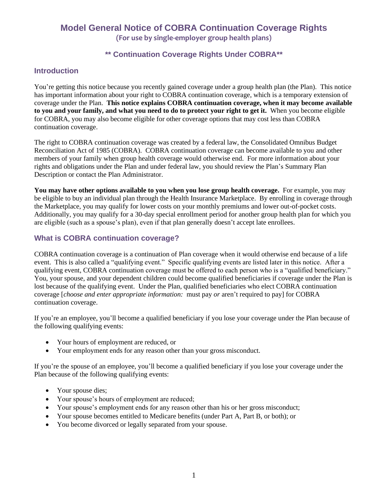# **Model General Notice of COBRA Continuation Coverage Rights (For use by single-employer group health plans)**

### **\*\* Continuation Coverage Rights Under COBRA\*\***

### **Introduction**

You're getting this notice because you recently gained coverage under a group health plan (the Plan). This notice has important information about your right to COBRA continuation coverage, which is a temporary extension of coverage under the Plan. **This notice explains COBRA continuation coverage, when it may become available to you and your family, and what you need to do to protect your right to get it.** When you become eligible for COBRA, you may also become eligible for other coverage options that may cost less than COBRA continuation coverage.

The right to COBRA continuation coverage was created by a federal law, the Consolidated Omnibus Budget Reconciliation Act of 1985 (COBRA). COBRA continuation coverage can become available to you and other members of your family when group health coverage would otherwise end. For more information about your rights and obligations under the Plan and under federal law, you should review the Plan's Summary Plan Description or contact the Plan Administrator.

**You may have other options available to you when you lose group health coverage.** For example, you may be eligible to buy an individual plan through the Health Insurance Marketplace. By enrolling in coverage through the Marketplace, you may qualify for lower costs on your monthly premiums and lower out-of-pocket costs. Additionally, you may qualify for a 30-day special enrollment period for another group health plan for which you are eligible (such as a spouse's plan), even if that plan generally doesn't accept late enrollees.

#### **What is COBRA continuation coverage?**

COBRA continuation coverage is a continuation of Plan coverage when it would otherwise end because of a life event. This is also called a "qualifying event." Specific qualifying events are listed later in this notice. After a qualifying event, COBRA continuation coverage must be offered to each person who is a "qualified beneficiary." You, your spouse, and your dependent children could become qualified beneficiaries if coverage under the Plan is lost because of the qualifying event. Under the Plan, qualified beneficiaries who elect COBRA continuation coverage [*choose and enter appropriate information:* must pay *or* aren't required to pay] for COBRA continuation coverage.

If you're an employee, you'll become a qualified beneficiary if you lose your coverage under the Plan because of the following qualifying events:

- Your hours of employment are reduced, or
- Your employment ends for any reason other than your gross misconduct.

If you're the spouse of an employee, you'll become a qualified beneficiary if you lose your coverage under the Plan because of the following qualifying events:

- Your spouse dies;
- Your spouse's hours of employment are reduced;
- Your spouse's employment ends for any reason other than his or her gross misconduct;
- Your spouse becomes entitled to Medicare benefits (under Part A, Part B, or both); or
- You become divorced or legally separated from your spouse.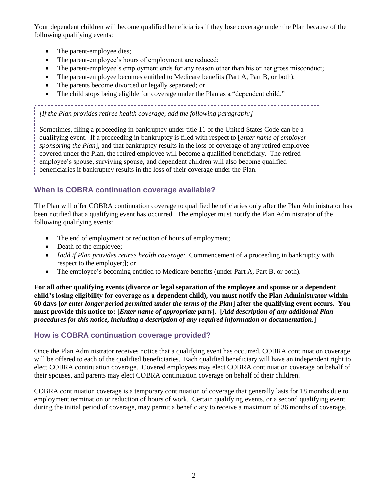Your dependent children will become qualified beneficiaries if they lose coverage under the Plan because of the following qualifying events:

- The parent-employee dies;
- The parent-employee's hours of employment are reduced;
- The parent-employee's employment ends for any reason other than his or her gross misconduct;
- The parent-employee becomes entitled to Medicare benefits (Part A, Part B, or both);
- The parents become divorced or legally separated; or
- The child stops being eligible for coverage under the Plan as a "dependent child."

*[If the Plan provides retiree health coverage, add the following paragraph:]*

Sometimes, filing a proceeding in bankruptcy under title 11 of the United States Code can be a qualifying event. If a proceeding in bankruptcy is filed with respect to [*enter name of employer sponsoring the Plan*], and that bankruptcy results in the loss of coverage of any retired employee covered under the Plan, the retired employee will become a qualified beneficiary. The retired employee's spouse, surviving spouse, and dependent children will also become qualified beneficiaries if bankruptcy results in the loss of their coverage under the Plan.

## **When is COBRA continuation coverage available?**

The Plan will offer COBRA continuation coverage to qualified beneficiaries only after the Plan Administrator has been notified that a qualifying event has occurred. The employer must notify the Plan Administrator of the following qualifying events:

- The end of employment or reduction of hours of employment;
- Death of the employee;
- *[add if Plan provides retiree health coverage:* Commencement of a proceeding in bankruptcy with respect to the employer;]; or
- The employee's becoming entitled to Medicare benefits (under Part A, Part B, or both).

**For all other qualifying events (divorce or legal separation of the employee and spouse or a dependent child's losing eligibility for coverage as a dependent child), you must notify the Plan Administrator within 60 days [***or enter longer period permitted under the terms of the Plan***] after the qualifying event occurs. You must provide this notice to: [***Enter name of appropriate party***].****[***Add description of any additional Plan procedures for this notice, including a description of any required information or documentation.***]**

#### **How is COBRA continuation coverage provided?**

Once the Plan Administrator receives notice that a qualifying event has occurred, COBRA continuation coverage will be offered to each of the qualified beneficiaries. Each qualified beneficiary will have an independent right to elect COBRA continuation coverage. Covered employees may elect COBRA continuation coverage on behalf of their spouses, and parents may elect COBRA continuation coverage on behalf of their children.

COBRA continuation coverage is a temporary continuation of coverage that generally lasts for 18 months due to employment termination or reduction of hours of work. Certain qualifying events, or a second qualifying event during the initial period of coverage, may permit a beneficiary to receive a maximum of 36 months of coverage.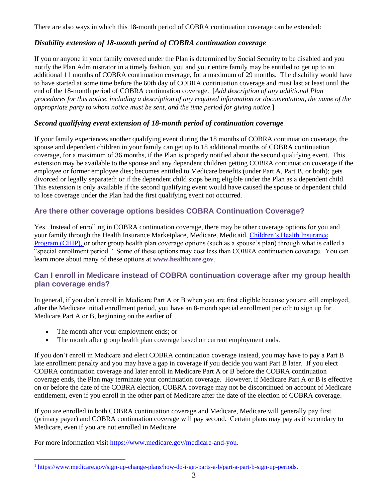There are also ways in which this 18-month period of COBRA continuation coverage can be extended:

#### *Disability extension of 18-month period of COBRA continuation coverage*

If you or anyone in your family covered under the Plan is determined by Social Security to be disabled and you notify the Plan Administrator in a timely fashion, you and your entire family may be entitled to get up to an additional 11 months of COBRA continuation coverage, for a maximum of 29 months. The disability would have to have started at some time before the 60th day of COBRA continuation coverage and must last at least until the end of the 18-month period of COBRA continuation coverage. [*Add description of any additional Plan procedures for this notice, including a description of any required information or documentation, the name of the appropriate party to whom notice must be sent, and the time period for giving notice.*]

#### *Second qualifying event extension of 18-month period of continuation coverage*

If your family experiences another qualifying event during the 18 months of COBRA continuation coverage, the spouse and dependent children in your family can get up to 18 additional months of COBRA continuation coverage, for a maximum of 36 months, if the Plan is properly notified about the second qualifying event. This extension may be available to the spouse and any dependent children getting COBRA continuation coverage if the employee or former employee dies; becomes entitled to Medicare benefits (under Part A, Part B, or both); gets divorced or legally separated; or if the dependent child stops being eligible under the Plan as a dependent child. This extension is only available if the second qualifying event would have caused the spouse or dependent child to lose coverage under the Plan had the first qualifying event not occurred.

## **Are there other coverage options besides COBRA Continuation Coverage?**

Yes. Instead of enrolling in COBRA continuation coverage, there may be other coverage options for you and your family through the Health Insurance Marketplace, Medicare, Medicaid[, Children's Health Insurance](https://www.healthcare.gov/are-my-children-eligible-for-chip)  [Program \(CHIP\),](https://www.healthcare.gov/are-my-children-eligible-for-chip) or other group health plan coverage options (such as a spouse's plan) through what is called a "special enrollment period." Some of these options may cost less than COBRA continuation coverage. You can learn more about many of these options at **[www.healthcare.gov](https://www.dol.gov/ebsa/www.healthcare.gov)**.

## **Can I enroll in Medicare instead of COBRA continuation coverage after my group health plan coverage ends?**

In general, if you don't enroll in Medicare Part A or B when you are first eligible because you are still employed, after the Medicare initial enrollment period, you have an 8-month special enrollment period<sup>1</sup> to sign up for Medicare Part A or B, beginning on the earlier of

- The month after your employment ends; or
- The month after group health plan coverage based on current employment ends.

If you don't enroll in Medicare and elect COBRA continuation coverage instead, you may have to pay a Part B late enrollment penalty and you may have a gap in coverage if you decide you want Part B later. If you elect COBRA continuation coverage and later enroll in Medicare Part A or B before the COBRA continuation coverage ends, the Plan may terminate your continuation coverage. However, if Medicare Part A or B is effective on or before the date of the COBRA election, COBRA coverage may not be discontinued on account of Medicare entitlement, even if you enroll in the other part of Medicare after the date of the election of COBRA coverage.

If you are enrolled in both COBRA continuation coverage and Medicare, Medicare will generally pay first (primary payer) and COBRA continuation coverage will pay second. Certain plans may pay as if secondary to Medicare, even if you are not enrolled in Medicare.

For more information visit [https://www.medicare.gov/medicare-and-you.](https://www.medicare.gov/medicare-and-you)

<sup>1</sup> [https://www.medicare.gov/sign-up-change-plans/how-do-i-get-parts-a-b/part-a-part-b-sign-up-periods.](https://www.medicare.gov/sign-up-change-plans/how-do-i-get-parts-a-b/part-a-part-b-sign-up-periods)